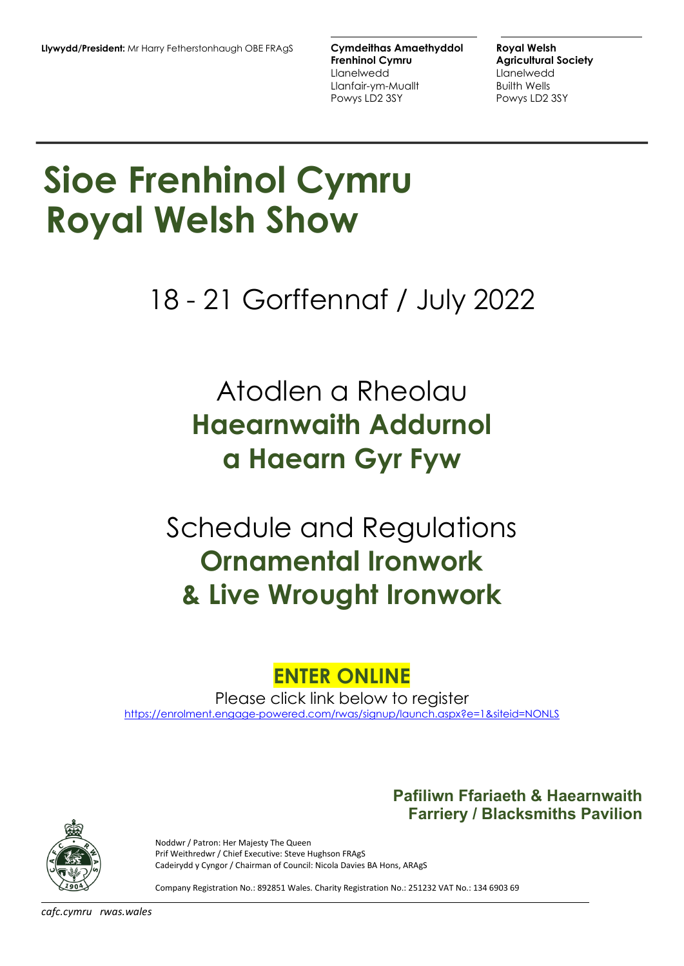**Frenhinol Cymru Agricultural Society** Llanelwedd Llanelwedd Llanfair-ym-Muallt Builth Wells Powys LD2 3SY

**Pafiliwn Ffariaeth & Haearnwaith Farriery / Blacksmiths Pavilion**

# **Sioe Frenhinol Cymru Royal Welsh Show**

18 - 21 Gorffennaf / July 2022

# Atodlen a Rheolau **Haearnwaith Addurnol a Haearn Gyr Fyw**

# Schedule and Regulations **Ornamental Ironwork & Live Wrought Ironwork**

## **ENTER ONLINE**

Please click link below to register

[https://enrolment.engage-powered.com/rwas/signup/launch.aspx?e=1&siteid=NONLS](https://protect-eu.mimecast.com/s/QSAyCr8gnhDm6pF7s4F0)



Noddwr / Patron: Her Majesty The Queen Prif Weithredwr / Chief Executive: Steve Hughson FRAgS Cadeirydd y Cyngor / Chairman of Council: Nicola Davies BA Hons, ARAgS

Company Registration No.: 892851 Wales. Charity Registration No.: 251232 VAT No.: 134 6903 69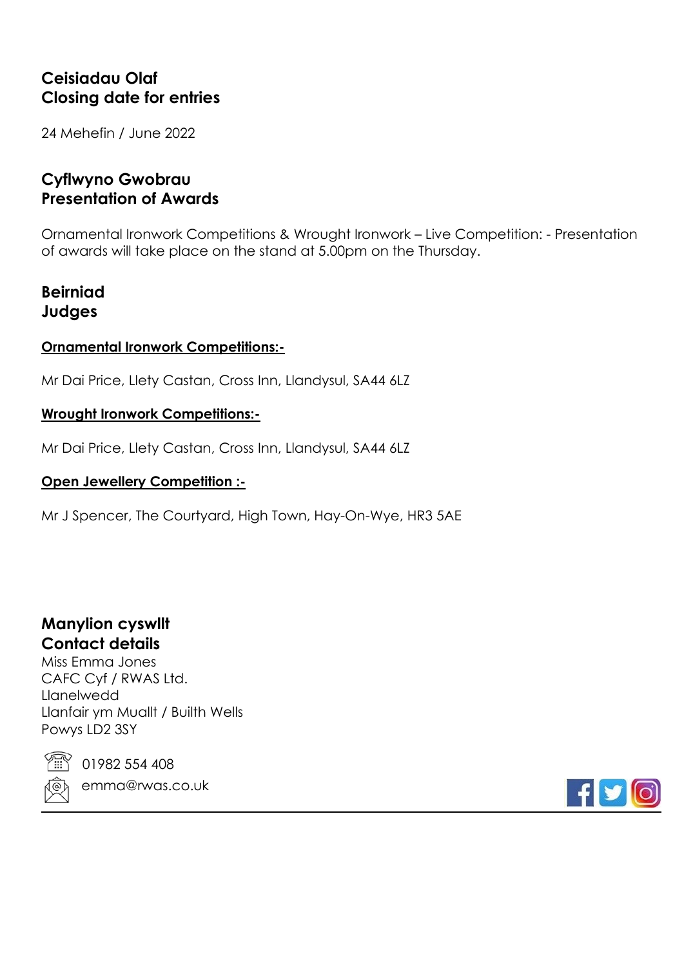## **Ceisiadau Olaf Closing date for entries**

24 Mehefin / June 2022

## **Cyflwyno Gwobrau Presentation of Awards**

Ornamental Ironwork Competitions & Wrought Ironwork – Live Competition: - Presentation of awards will take place on the stand at 5.00pm on the Thursday.

## **Beirniad Judges**

## **Ornamental Ironwork Competitions:-**

Mr Dai Price, Llety Castan, Cross Inn, Llandysul, SA44 6LZ

## **Wrought Ironwork Competitions:-**

Mr Dai Price, Llety Castan, Cross Inn, Llandysul, SA44 6LZ

## **Open Jewellery Competition :-**

Mr J Spencer, The Courtyard, High Town, Hay-On-Wye, HR3 5AE

## **Manylion cyswllt Contact details**

Miss Emma Jones CAFC Cyf / RWAS Ltd. Llanelwedd Llanfair ym Muallt / Builth Wells Powys LD2 3SY



01982 554 408 emma@rwas.co.uk

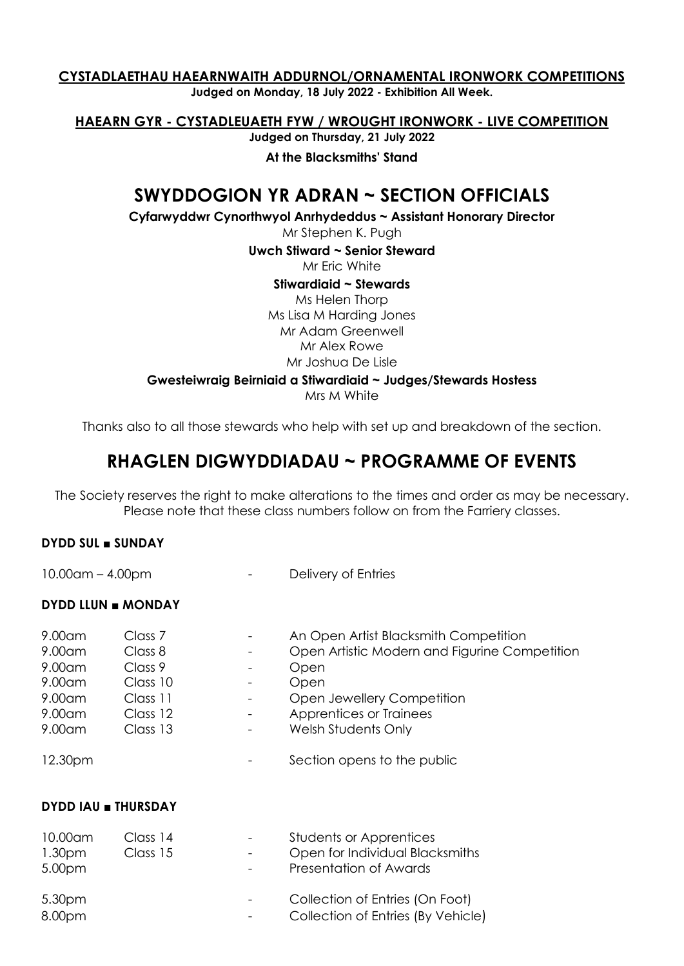#### **CYSTADLAETHAU HAEARNWAITH ADDURNOL/ORNAMENTAL IRONWORK COMPETITIONS Judged on Monday, 18 July 2022 - Exhibition All Week.**

**HAEARN GYR - CYSTADLEUAETH FYW / WROUGHT IRONWORK - LIVE COMPETITION** 

**Judged on Thursday, 21 July 2022**

**At the Blacksmiths' Stand**

## **SWYDDOGION YR ADRAN ~ SECTION OFFICIALS**

**Cyfarwyddwr Cynorthwyol Anrhydeddus ~ Assistant Honorary Director** 

Mr Stephen K. Pugh

**Uwch Stiward ~ Senior Steward** 

Mr Eric White

**Stiwardiaid ~ Stewards** 

Ms Helen Thorp Ms Lisa M Harding Jones Mr Adam Greenwell Mr Alex Rowe Mr Joshua De Lisle

**Gwesteiwraig Beirniaid a Stiwardiaid ~ Judges/Stewards Hostess**

Mrs M White

Thanks also to all those stewards who help with set up and breakdown of the section.

## **RHAGLEN DIGWYDDIADAU ~ PROGRAMME OF EVENTS**

The Society reserves the right to make alterations to the times and order as may be necessary. Please note that these class numbers follow on from the Farriery classes.

#### **DYDD SUL ■ SUNDAY**

10.00am – 4.00pm - Particle Communication Communication Delivery of Entries

#### **DYDD LLUN ■ MONDAY**

| $9.00$ am | Class 7  | An Open Artist Blacksmith Competition         |
|-----------|----------|-----------------------------------------------|
| $9.00$ am | Class 8  | Open Artistic Modern and Figurine Competition |
| $9.00$ am | Class 9  | Open                                          |
| $9.00$ am | Class 10 | Open                                          |
| $9.00$ am | Class 11 | Open Jewellery Competition                    |
| $9.00$ am | Class 12 | Apprentices or Trainees                       |
| $9.00$ am | Class 13 | Welsh Students Only                           |
| 12.30pm   |          | Section opens to the public                   |

#### **DYDD IAU ■ THURSDAY**

| 10.00am<br>1.30 <sub>pm</sub><br>5.00pm | Class 14<br>Class 15 | <b>Students or Apprentices</b><br>Open for Individual Blacksmiths<br><b>Presentation of Awards</b> |
|-----------------------------------------|----------------------|----------------------------------------------------------------------------------------------------|
| 5.30pm<br>8.00pm                        |                      | Collection of Entries (On Foot)<br>Collection of Entries (By Vehicle)                              |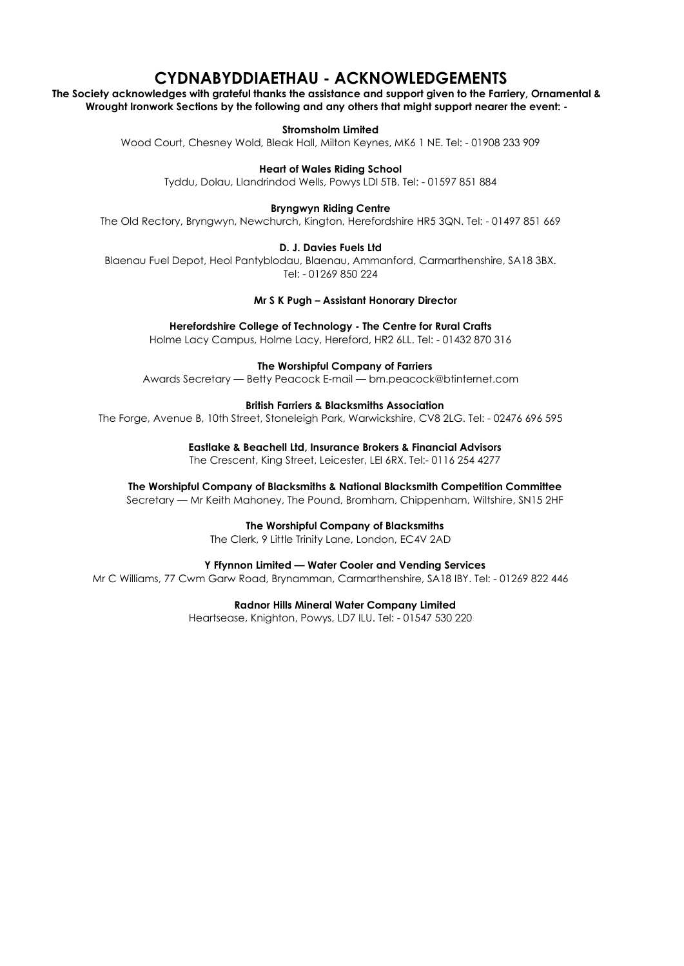## **CYDNABYDDIAETHAU - ACKNOWLEDGEMENTS**

**The Society acknowledges with grateful thanks the assistance and support given to the Farriery, Ornamental & Wrought Ironwork Sections by the following and any others that might support nearer the event: -**

**Stromsholm Limited**

Wood Court, Chesney Wold, Bleak Hall, Milton Keynes, MK6 1 NE. Tel: - 01908 233 909

**Heart of Wales Riding School**

Tyddu, Dolau, Llandrindod Wells, Powys LDI 5TB. Tel: - 01597 851 884

**Bryngwyn Riding Centre**

The Old Rectory, Bryngwyn, Newchurch, Kington, Herefordshire HR5 3QN. Tel: - 01497 851 669

#### **D. J. Davies Fuels Ltd**

Blaenau Fuel Depot, Heol Pantyblodau, Blaenau, Ammanford, Carmarthenshire, SA18 3BX. Tel: - 01269 850 224

 **Mr S K Pugh – Assistant Honorary Director**

#### **Herefordshire College of Technology - The Centre for Rural Crafts**

Holme Lacy Campus, Holme Lacy, Hereford, HR2 6LL. Tel: - 01432 870 316

**The Worshipful Company of Farriers**

Awards Secretary — Betty Peacock E-mail — [bm.peacock@btinternet.com](mailto:bm.peacock@btinternet.com)

#### **British Farriers & Blacksmiths Association**

The Forge, Avenue B, 10th Street, Stoneleigh Park, Warwickshire, CV8 2LG. Tel: - 02476 696 595

#### **Eastlake & Beachell Ltd, Insurance Brokers & Financial Advisors**

The Crescent, King Street, Leicester, LEI 6RX. Tel:- 0116 254 4277

#### **The Worshipful Company of Blacksmiths & National Blacksmith Competition Committee**

Secretary — Mr Keith Mahoney, The Pound, Bromham, Chippenham, Wiltshire, SN15 2HF

**The Worshipful Company of Blacksmiths**

The Clerk, 9 Little Trinity Lane, London, EC4V 2AD

#### **Y Ffynnon Limited — Water Cooler and Vending Services**

Mr C Williams, 77 Cwm Garw Road, Brynamman, Carmarthenshire, SA18 IBY. Tel: - 01269 822 446

#### **Radnor Hills Mineral Water Company Limited**

Heartsease, Knighton, Powys, LD7 ILU. Tel: - 01547 530 220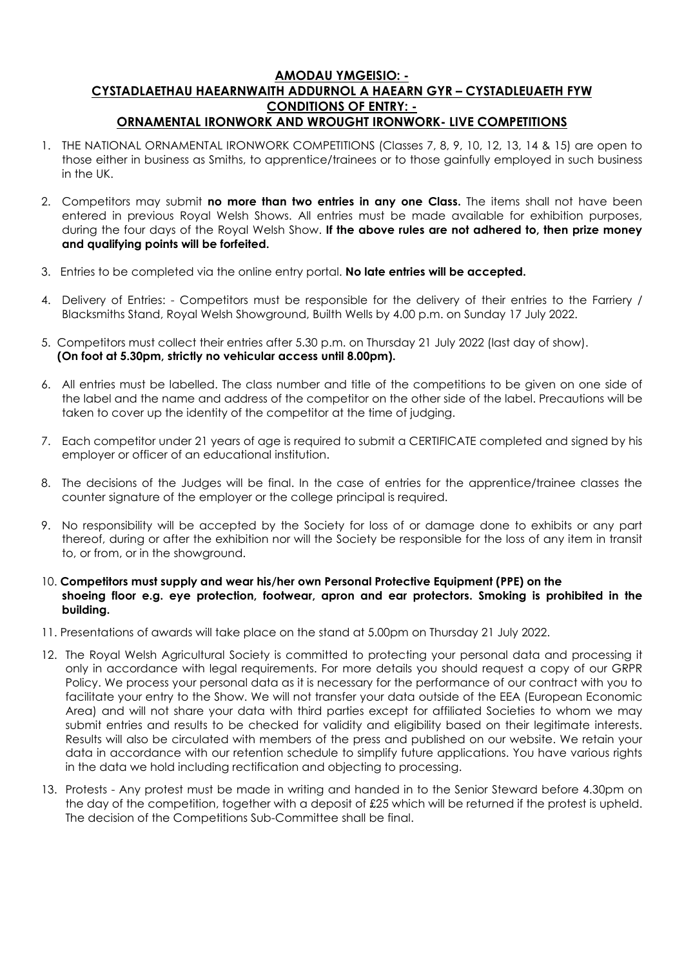#### **AMODAU YMGEISIO: - CYSTADLAETHAU HAEARNWAITH ADDURNOL A HAEARN GYR – CYSTADLEUAETH FYW CONDITIONS OF ENTRY: - ORNAMENTAL IRONWORK AND WROUGHT IRONWORK- LIVE COMPETITIONS**

- 1. THE NATIONAL ORNAMENTAL IRONWORK COMPETITIONS (Classes 7, 8, 9, 10, 12, 13, 14 & 15) are open to those either in business as Smiths, to apprentice/trainees or to those gainfully employed in such business in the UK.
- 2. Competitors may submit **no more than two entries in any one Class.** The items shall not have been entered in previous Royal Welsh Shows. All entries must be made available for exhibition purposes, during the four days of the Royal Welsh Show. **If the above rules are not adhered to, then prize money and qualifying points will be forfeited.**
- 3. Entries to be completed via the online entry portal. **No late entries will be accepted.**
- 4. Delivery of Entries: Competitors must be responsible for the delivery of their entries to the Farriery / Blacksmiths Stand, Royal Welsh Showground, Builth Wells by 4.00 p.m. on Sunday 17 July 2022.
- 5. Competitors must collect their entries after 5.30 p.m. on Thursday 21 July 2022 (last day of show).  **(On foot at 5.30pm, strictly no vehicular access until 8.00pm).**
- 6. All entries must be labelled. The class number and title of the competitions to be given on one side of the label and the name and address of the competitor on the other side of the label. Precautions will be taken to cover up the identity of the competitor at the time of judging.
- 7. Each competitor under 21 years of age is required to submit a CERTIFICATE completed and signed by his employer or officer of an educational institution.
- 8. The decisions of the Judges will be final. In the case of entries for the apprentice/trainee classes the counter signature of the employer or the college principal is required.
- 9. No responsibility will be accepted by the Society for loss of or damage done to exhibits or any part thereof, during or after the exhibition nor will the Society be responsible for the loss of any item in transit to, or from, or in the showground.
- 10. **Competitors must supply and wear his/her own Personal Protective Equipment (PPE) on the shoeing floor e.g. eye protection, footwear, apron and ear protectors. Smoking is prohibited in the building.**
- 11. Presentations of awards will take place on the stand at 5.00pm on Thursday 21 July 2022.
- 12. The Royal Welsh Agricultural Society is committed to protecting your personal data and processing it only in accordance with legal requirements. For more details you should request a copy of our GRPR Policy. We process your personal data as it is necessary for the performance of our contract with you to facilitate your entry to the Show. We will not transfer your data outside of the EEA (European Economic Area) and will not share your data with third parties except for affiliated Societies to whom we may submit entries and results to be checked for validity and eligibility based on their legitimate interests. Results will also be circulated with members of the press and published on our website. We retain your data in accordance with our retention schedule to simplify future applications. You have various rights in the data we hold including rectification and objecting to processing.
- 13. Protests Any protest must be made in writing and handed in to the Senior Steward before 4.30pm on the day of the competition, together with a deposit of £25 which will be returned if the protest is upheld. The decision of the Competitions Sub-Committee shall be final.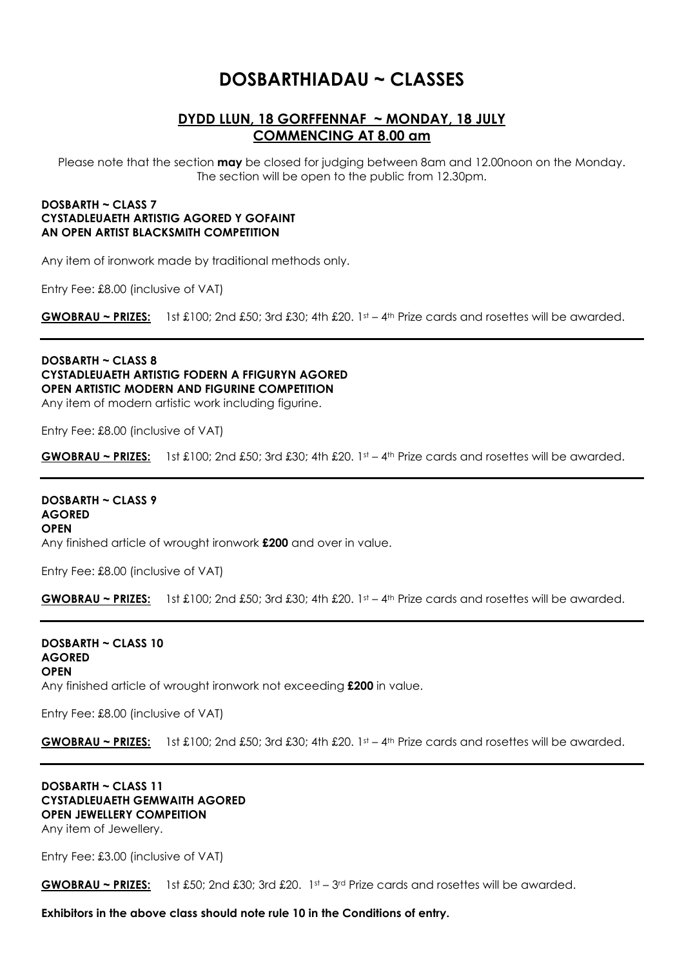## **DOSBARTHIADAU ~ CLASSES**

#### **DYDD LLUN, 18 GORFFENNAF ~ MONDAY, 18 JULY COMMENCING AT 8.00 am**

Please note that the section **may** be closed for judging between 8am and 12.00noon on the Monday. The section will be open to the public from 12.30pm.

#### **DOSBARTH ~ CLASS 7 CYSTADLEUAETH ARTISTIG AGORED Y GOFAINT AN OPEN ARTIST BLACKSMITH COMPETITION**

Any item of ironwork made by traditional methods only.

Entry Fee: £8.00 (inclusive of VAT)

**GWOBRAU ~ PRIZES:** 1st £100; 2nd £50; 3rd £30; 4th £20. 1st – 4th Prize cards and rosettes will be awarded.

**DOSBARTH ~ CLASS 8 CYSTADLEUAETH ARTISTIG FODERN A FFIGURYN AGORED OPEN ARTISTIC MODERN AND FIGURINE COMPETITION** Any item of modern artistic work including figurine.

Entry Fee: £8.00 (inclusive of VAT)

**GWOBRAU ~ PRIZES:** 1st £100; 2nd £50; 3rd £30; 4th £20. 1st – 4th Prize cards and rosettes will be awarded.

**DOSBARTH ~ CLASS 9 AGORED OPEN**  Any finished article of wrought ironwork **£200** and over in value.

Entry Fee: £8.00 (inclusive of VAT)

**GWOBRAU ~ PRIZES:** 1st £100; 2nd £50; 3rd £30; 4th £20. 1st – 4th Prize cards and rosettes will be awarded.

**DOSBARTH ~ CLASS 10 AGORED OPEN**  Any finished article of wrought ironwork not exceeding **£200** in value.

Entry Fee: £8.00 (inclusive of VAT)

**GWOBRAU ~ PRIZES:** 1st £100; 2nd £50; 3rd £30; 4th £20. 1st – 4th Prize cards and rosettes will be awarded.

## **DOSBARTH ~ CLASS 11 CYSTADLEUAETH GEMWAITH AGORED OPEN JEWELLERY COMPEITION**

Any item of Jewellery.

Entry Fee: £3.00 (inclusive of VAT)

**GWOBRAU ~ PRIZES:** 1st £50; 2nd £30; 3rd £20. 1st – 3rd Prize cards and rosettes will be awarded.

**Exhibitors in the above class should note rule 10 in the Conditions of entry.**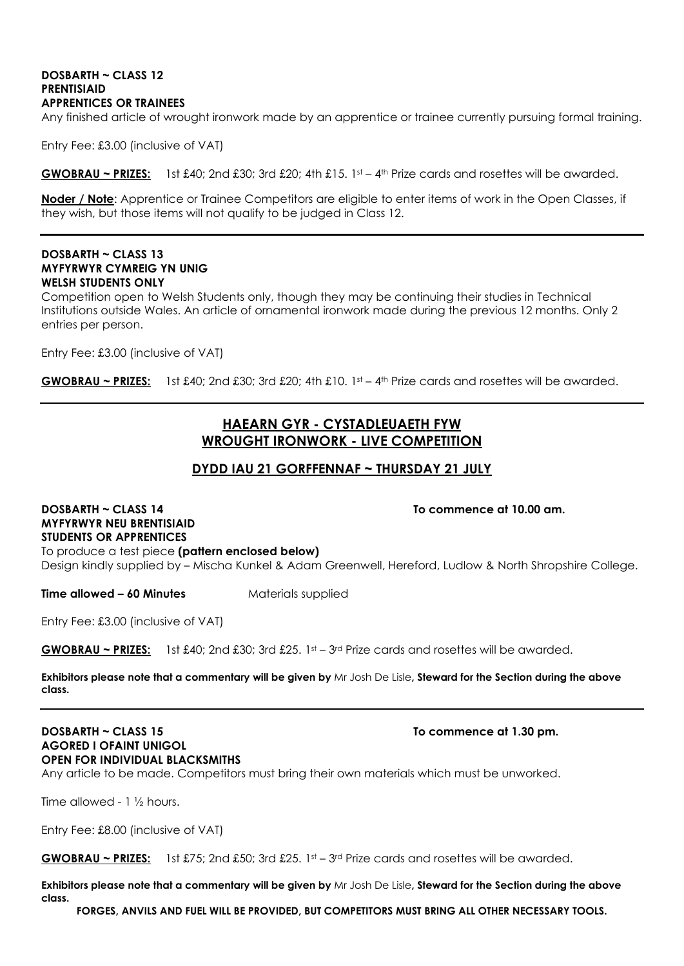#### **DOSBARTH ~ CLASS 12 PRENTISIAID APPRENTICES OR TRAINEES**

Any finished article of wrought ironwork made by an apprentice or trainee currently pursuing formal training.

Entry Fee: £3.00 (inclusive of VAT)

**GWOBRAU ~ PRIZES:** 1st £40; 2nd £30; 3rd £20; 4th £15. 1st – 4th Prize cards and rosettes will be awarded.

**Noder / Note**: Apprentice or Trainee Competitors are eligible to enter items of work in the Open Classes, if they wish, but those items will not qualify to be judged in Class 12.

#### **DOSBARTH ~ CLASS 13 MYFYRWYR CYMREIG YN UNIG WELSH STUDENTS ONLY**

Competition open to Welsh Students only, though they may be continuing their studies in Technical Institutions outside Wales. An article of ornamental ironwork made during the previous 12 months. Only 2 entries per person.

Entry Fee: £3.00 (inclusive of VAT)

**GWOBRAU ~ PRIZES:** 1st £40; 2nd £30; 3rd £20; 4th £10. 1st – 4th Prize cards and rosettes will be awarded.

#### **HAEARN GYR - CYSTADLEUAETH FYW WROUGHT IRONWORK - LIVE COMPETITION**

#### **DYDD IAU 21 GORFFENNAF ~ THURSDAY 21 JULY**

**DOSBARTH ~ CLASS 14 To commence at 10.00 am. MYFYRWYR NEU BRENTISIAID STUDENTS OR APPRENTICES** To produce a test piece **(pattern enclosed below)**  Design kindly supplied by – Mischa Kunkel & Adam Greenwell, Hereford, Ludlow & North Shropshire College.

**Time allowed – 60 Minutes** Materials supplied

Entry Fee: £3.00 (inclusive of VAT)

**GWOBRAU ~ PRIZES:** 1st £40; 2nd £30; 3rd £25. 1st – 3rd Prize cards and rosettes will be awarded.

**Exhibitors please note that a commentary will be given by** Mr Josh De Lisle**, Steward for the Section during the above class.** 

#### **DOSBARTH ~ CLASS 15 TO COMMETER AT LOST ASSET AT LOST AT LOST AT LOST AT LOST AT LOST AT LOST AT LOST AT LOST AT LOST AT LOST AT LOST AT LOST AT LOST AT LOST AT LOST AT LOST AT LOST AT LOST AT LOST AT LOST AT LOST AT LOST AGORED I OFAINT UNIGOL OPEN FOR INDIVIDUAL BLACKSMITHS**

Any article to be made. Competitors must bring their own materials which must be unworked.

Time allowed - 1 ½ hours.

Entry Fee: £8.00 (inclusive of VAT)

**GWOBRAU ~ PRIZES:** 1st £75; 2nd £50; 3rd £25. 1st – 3rd Prize cards and rosettes will be awarded.

**Exhibitors please note that a commentary will be given by** Mr Josh De Lisle**, Steward for the Section during the above class.**

**FORGES, ANVILS AND FUEL WILL BE PROVIDED, BUT COMPETITORS MUST BRING ALL OTHER NECESSARY TOOLS.**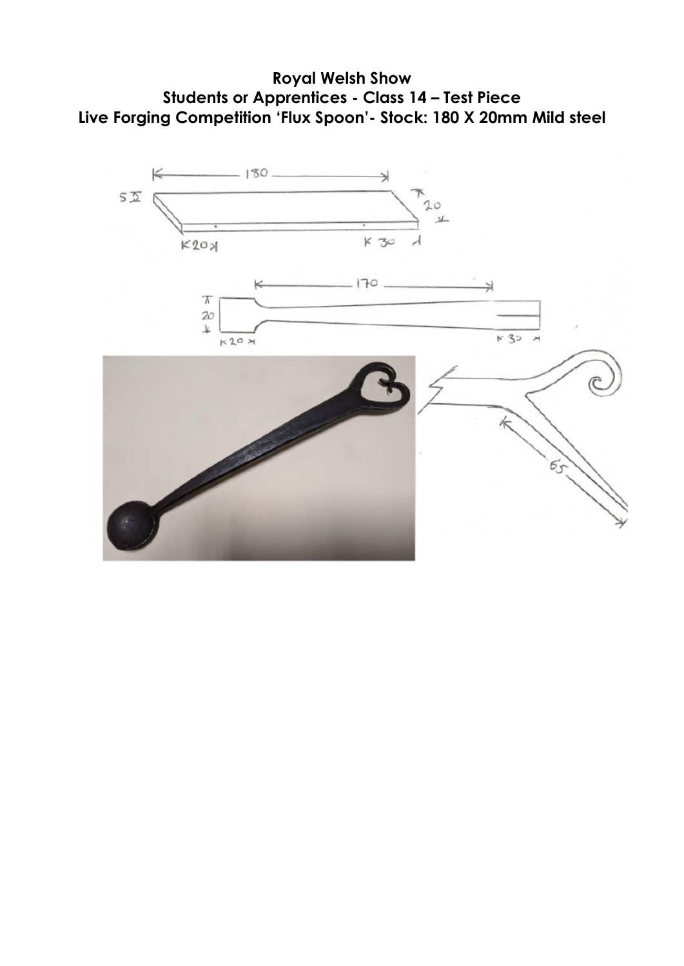

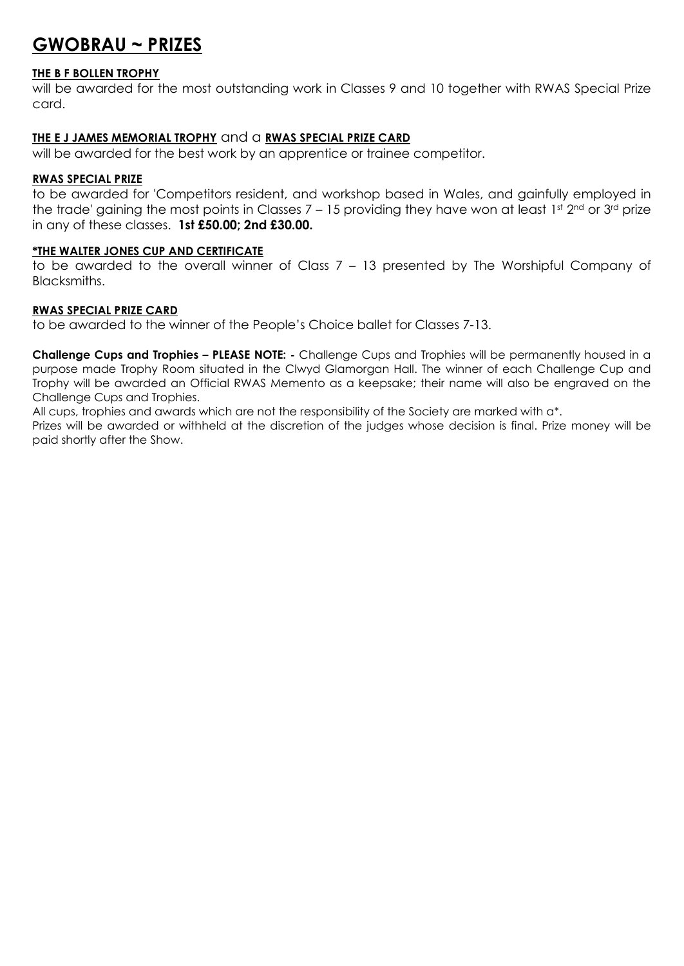## **GWOBRAU ~ PRIZES**

#### **THE B F BOLLEN TROPHY**

will be awarded for the most outstanding work in Classes 9 and 10 together with RWAS Special Prize card.

#### **THE E J JAMES MEMORIAL TROPHY** and a **RWAS SPECIAL PRIZE CARD**

will be awarded for the best work by an apprentice or trainee competitor.

#### **RWAS SPECIAL PRIZE**

to be awarded for 'Competitors resident, and workshop based in Wales, and gainfully employed in the trade' gaining the most points in Classes  $7 - 15$  providing they have won at least 1st  $2^{nd}$  or  $3^{rd}$  prize in any of these classes. **1st £50.00; 2nd £30.00.**

#### **\*THE WALTER JONES CUP AND CERTIFICATE**

to be awarded to the overall winner of Class 7 – 13 presented by The Worshipful Company of Blacksmiths.

#### **RWAS SPECIAL PRIZE CARD**

to be awarded to the winner of the People's Choice ballet for Classes 7-13.

**Challenge Cups and Trophies – PLEASE NOTE: -** Challenge Cups and Trophies will be permanently housed in a purpose made Trophy Room situated in the Clwyd Glamorgan Hall. The winner of each Challenge Cup and Trophy will be awarded an Official RWAS Memento as a keepsake; their name will also be engraved on the Challenge Cups and Trophies.

All cups, trophies and awards which are not the responsibility of the Society are marked with a\*.

Prizes will be awarded or withheld at the discretion of the judges whose decision is final. Prize money will be paid shortly after the Show.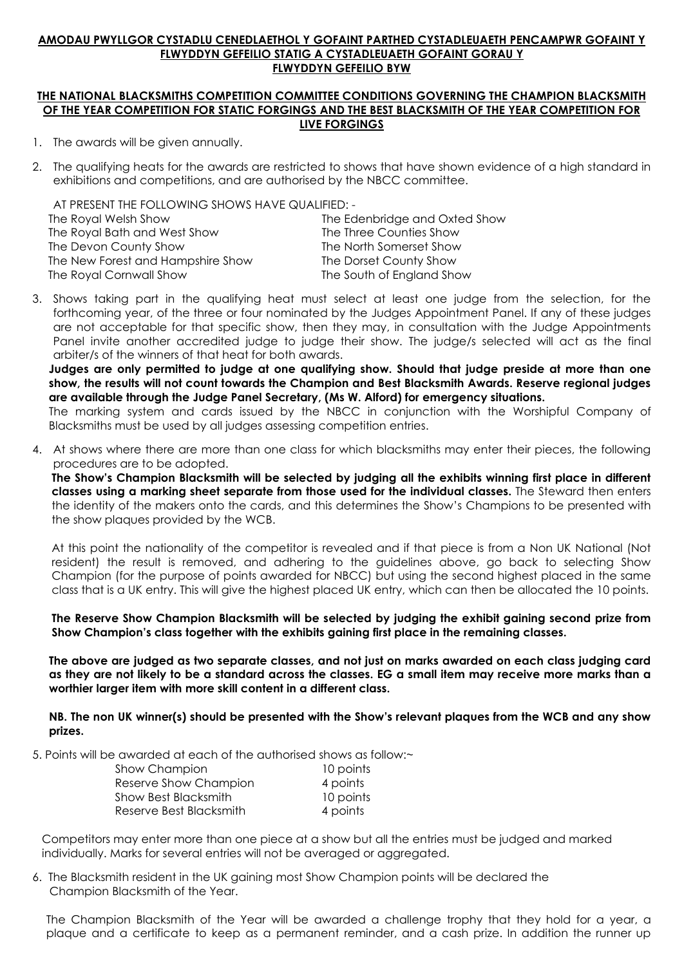#### **AMODAU PWYLLGOR CYSTADLU CENEDLAETHOL Y GOFAINT PARTHED CYSTADLEUAETH PENCAMPWR GOFAINT Y FLWYDDYN GEFEILIO STATIG A CYSTADLEUAETH GOFAINT GORAU Y FLWYDDYN GEFEILIO BYW**

#### **THE NATIONAL BLACKSMITHS COMPETITION COMMITTEE CONDITIONS GOVERNING THE CHAMPION BLACKSMITH OF THE YEAR COMPETITION FOR STATIC FORGINGS AND THE BEST BLACKSMITH OF THE YEAR COMPETITION FOR LIVE FORGINGS**

- 1. The awards will be given annually.
- 2. The qualifying heats for the awards are restricted to shows that have shown evidence of a high standard in exhibitions and competitions, and are authorised by the NBCC committee.

AT PRESENT THE FOLLOWING SHOWS HAVE QUALIFIED: -

| The Royal Welsh Show              | The Edenbridge and Oxted Show |
|-----------------------------------|-------------------------------|
| The Royal Bath and West Show      | The Three Counties Show       |
| The Devon County Show             | The North Somerset Show       |
| The New Forest and Hampshire Show | The Dorset County Show        |
| The Royal Cornwall Show           | The South of England Show     |
|                                   |                               |

3. Shows taking part in the qualifying heat must select at least one judge from the selection, for the forthcoming year, of the three or four nominated by the Judges Appointment Panel. If any of these judges are not acceptable for that specific show, then they may, in consultation with the Judge Appointments Panel invite another accredited judge to judge their show. The judge/s selected will act as the final arbiter/s of the winners of that heat for both awards.

**Judges are only permitted to judge at one qualifying show. Should that judge preside at more than one show, the results will not count towards the Champion and Best Blacksmith Awards. Reserve regional judges are available through the Judge Panel Secretary, (Ms W. Alford) for emergency situations.** 

The marking system and cards issued by the NBCC in conjunction with the Worshipful Company of Blacksmiths must be used by all judges assessing competition entries.

4. At shows where there are more than one class for which blacksmiths may enter their pieces, the following procedures are to be adopted.

**The Show's Champion Blacksmith will be selected by judging all the exhibits winning first place in different classes using a marking sheet separate from those used for the individual classes.** The Steward then enters the identity of the makers onto the cards, and this determines the Show's Champions to be presented with the show plaques provided by the WCB.

At this point the nationality of the competitor is revealed and if that piece is from a Non UK National (Not resident) the result is removed, and adhering to the guidelines above, go back to selecting Show Champion (for the purpose of points awarded for NBCC) but using the second highest placed in the same class that is a UK entry. This will give the highest placed UK entry, which can then be allocated the 10 points.

**The Reserve Show Champion Blacksmith will be selected by judging the exhibit gaining second prize from Show Champion's class together with the exhibits gaining first place in the remaining classes.**

**The above are judged as two separate classes, and not just on marks awarded on each class judging card as they are not likely to be a standard across the classes. EG a small item may receive more marks than a worthier larger item with more skill content in a different class.** 

**NB. The non UK winner(s) should be presented with the Show's relevant plaques from the WCB and any show prizes.** 

5. Points will be awarded at each of the authorised shows as follow:~

| <b>Show Champion</b>    | 10 points |  |
|-------------------------|-----------|--|
| Reserve Show Champion   | 4 points  |  |
| Show Best Blacksmith    | 10 points |  |
| Reserve Best Blacksmith | 4 points  |  |

 Competitors may enter more than one piece at a show but all the entries must be judged and marked individually. Marks for several entries will not be averaged or aggregated.

6. The Blacksmith resident in the UK gaining most Show Champion points will be declared the Champion Blacksmith of the Year.

The Champion Blacksmith of the Year will be awarded a challenge trophy that they hold for a year, a plaque and a certificate to keep as a permanent reminder, and a cash prize. In addition the runner up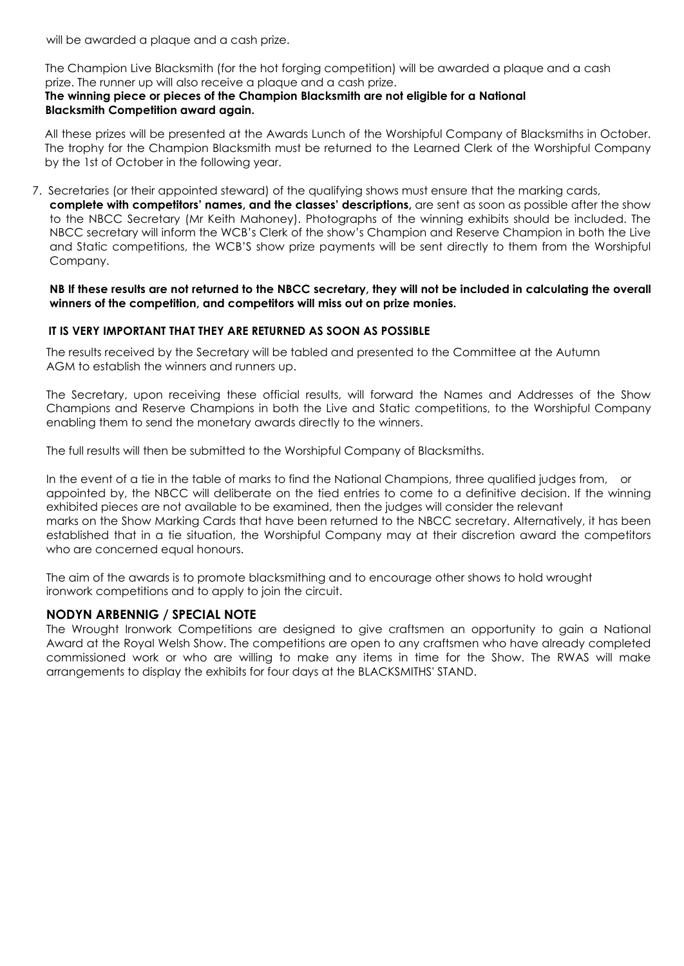will be awarded a plaque and a cash prize.

 The Champion Live Blacksmith (for the hot forging competition) will be awarded a plaque and a cash prize. The runner up will also receive a plaque and a cash prize.

#### **The winning piece or pieces of the Champion Blacksmith are not eligible for a National Blacksmith Competition award again.**

All these prizes will be presented at the Awards Lunch of the Worshipful Company of Blacksmiths in October. The trophy for the Champion Blacksmith must be returned to the Learned Clerk of the Worshipful Company by the 1st of October in the following year.

7. Secretaries (or their appointed steward) of the qualifying shows must ensure that the marking cards, **complete with competitors' names, and the classes' descriptions,** are sent as soon as possible after the show to the NBCC Secretary (Mr Keith Mahoney). Photographs of the winning exhibits should be included. The NBCC secretary will inform the WCB's Clerk of the show's Champion and Reserve Champion in both the Live and Static competitions, the WCB'S show prize payments will be sent directly to them from the Worshipful Company.

#### **NB If these results are not returned to the NBCC secretary, they will not be included in calculating the overall winners of the competition, and competitors will miss out on prize monies.**

#### **IT IS VERY IMPORTANT THAT THEY ARE RETURNED AS SOON AS POSSIBLE**

The results received by the Secretary will be tabled and presented to the Committee at the Autumn AGM to establish the winners and runners up.

The Secretary, upon receiving these official results, will forward the Names and Addresses of the Show Champions and Reserve Champions in both the Live and Static competitions, to the Worshipful Company enabling them to send the monetary awards directly to the winners.

The full results will then be submitted to the Worshipful Company of Blacksmiths.

In the event of a tie in the table of marks to find the National Champions, three qualified judges from, or appointed by, the NBCC will deliberate on the tied entries to come to a definitive decision. If the winning exhibited pieces are not available to be examined, then the judges will consider the relevant marks on the Show Marking Cards that have been returned to the NBCC secretary. Alternatively, it has been established that in a tie situation, the Worshipful Company may at their discretion award the competitors who are concerned equal honours.

The aim of the awards is to promote blacksmithing and to encourage other shows to hold wrought ironwork competitions and to apply to join the circuit.

#### **NODYN ARBENNIG / SPECIAL NOTE**

The Wrought Ironwork Competitions are designed to give craftsmen an opportunity to gain a National Award at the Royal Welsh Show. The competitions are open to any craftsmen who have already completed commissioned work or who are willing to make any items in time for the Show. The RWAS will make arrangements to display the exhibits for four days at the BLACKSMITHS' STAND.